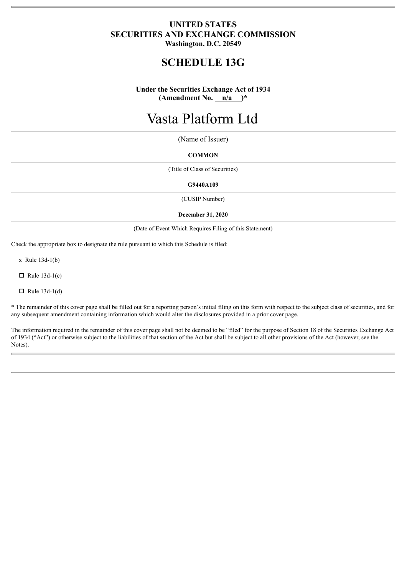## **UNITED STATES SECURITIES AND EXCHANGE COMMISSION Washington, D.C. 20549**

# **SCHEDULE 13G**

**Under the Securities Exchange Act of 1934 (Amendment No. n/a )\***

# Vasta Platform Ltd

(Name of Issuer)

#### **COMMON**

(Title of Class of Securities)

#### **G9440A109**

(CUSIP Number)

#### **December 31, 2020**

(Date of Event Which Requires Filing of this Statement)

Check the appropriate box to designate the rule pursuant to which this Schedule is filed:

x Rule 13d-1(b)

 $\Box$  Rule 13d-1(c)

 $\Box$  Rule 13d-1(d)

\* The remainder of this cover page shall be filled out for a reporting person's initial filing on this form with respect to the subject class of securities, and for any subsequent amendment containing information which would alter the disclosures provided in a prior cover page.

The information required in the remainder of this cover page shall not be deemed to be "filed" for the purpose of Section 18 of the Securities Exchange Act of 1934 ("Act") or otherwise subject to the liabilities of that section of the Act but shall be subject to all other provisions of the Act (however, see the Notes).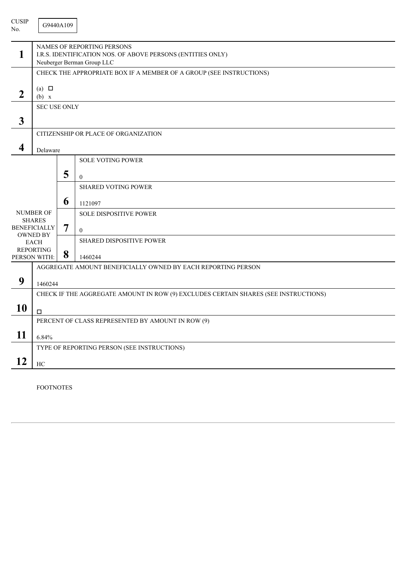| <b>CUSIP</b><br>No. |                                                                                                                                | G9440A109 |                                                                     |  |  |  |  |
|---------------------|--------------------------------------------------------------------------------------------------------------------------------|-----------|---------------------------------------------------------------------|--|--|--|--|
| 1                   | <b>NAMES OF REPORTING PERSONS</b><br>I.R.S. IDENTIFICATION NOS. OF ABOVE PERSONS (ENTITIES ONLY)<br>Neuberger Berman Group LLC |           |                                                                     |  |  |  |  |
|                     |                                                                                                                                |           | CHECK THE APPROPRIATE BOX IF A MEMBER OF A GROUP (SEE INSTRUCTIONS) |  |  |  |  |
| $\boldsymbol{2}$    | (a) $\Box$<br>(b) x                                                                                                            |           |                                                                     |  |  |  |  |
|                     | <b>SEC USE ONLY</b>                                                                                                            |           |                                                                     |  |  |  |  |
| $\mathbf{3}$        |                                                                                                                                |           |                                                                     |  |  |  |  |
|                     |                                                                                                                                |           | CITIZENSHIP OR PLACE OF ORGANIZATION                                |  |  |  |  |
| 4                   | Delaware                                                                                                                       |           |                                                                     |  |  |  |  |
|                     |                                                                                                                                |           | <b>SOLE VOTING POWER</b>                                            |  |  |  |  |
|                     |                                                                                                                                | 5         | $\overline{0}$                                                      |  |  |  |  |
|                     |                                                                                                                                |           | <b>SHARED VOTING POWER</b>                                          |  |  |  |  |
|                     |                                                                                                                                | 6         | 1121097                                                             |  |  |  |  |
|                     | <b>NUMBER OF</b>                                                                                                               |           | <b>SOLE DISPOSITIVE POWER</b>                                       |  |  |  |  |
|                     | <b>SHARES</b><br><b>BENEFICIALLY</b>                                                                                           |           | $\mathbf{0}$                                                        |  |  |  |  |
|                     | <b>OWNED BY</b><br><b>EACH</b>                                                                                                 |           | <b>SHARED DISPOSITIVE POWER</b>                                     |  |  |  |  |
|                     | <b>REPORTING</b><br>PERSON WITH:                                                                                               | 8         | 1460244                                                             |  |  |  |  |
|                     | AGGREGATE AMOUNT BENEFICIALLY OWNED BY EACH REPORTING PERSON                                                                   |           |                                                                     |  |  |  |  |
| 9                   |                                                                                                                                |           |                                                                     |  |  |  |  |
|                     | 1460244<br>CHECK IF THE AGGREGATE AMOUNT IN ROW (9) EXCLUDES CERTAIN SHARES (SEE INSTRUCTIONS)                                 |           |                                                                     |  |  |  |  |
| 10                  |                                                                                                                                |           |                                                                     |  |  |  |  |
|                     | $\Box$                                                                                                                         |           | PERCENT OF CLASS REPRESENTED BY AMOUNT IN ROW (9)                   |  |  |  |  |
|                     |                                                                                                                                |           |                                                                     |  |  |  |  |
| 11                  | 6.84%                                                                                                                          |           |                                                                     |  |  |  |  |
|                     | TYPE OF REPORTING PERSON (SEE INSTRUCTIONS)                                                                                    |           |                                                                     |  |  |  |  |
| 12                  | HC                                                                                                                             |           |                                                                     |  |  |  |  |

FOOTNOTES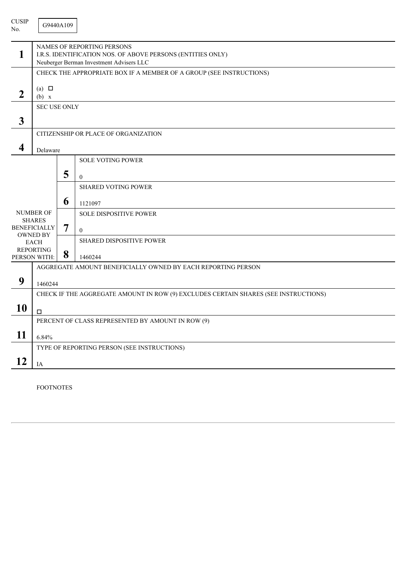| <b>CUSIP</b><br>No. |                                                                                                                                              | G9440A109 |                                                                     |  |  |  |
|---------------------|----------------------------------------------------------------------------------------------------------------------------------------------|-----------|---------------------------------------------------------------------|--|--|--|
| 1                   | <b>NAMES OF REPORTING PERSONS</b><br>I.R.S. IDENTIFICATION NOS. OF ABOVE PERSONS (ENTITIES ONLY)<br>Neuberger Berman Investment Advisers LLC |           |                                                                     |  |  |  |
|                     |                                                                                                                                              |           | CHECK THE APPROPRIATE BOX IF A MEMBER OF A GROUP (SEE INSTRUCTIONS) |  |  |  |
| $\boldsymbol{2}$    | (a) $\Box$<br>(b) x                                                                                                                          |           |                                                                     |  |  |  |
|                     | <b>SEC USE ONLY</b>                                                                                                                          |           |                                                                     |  |  |  |
| $\mathbf{3}$        |                                                                                                                                              |           |                                                                     |  |  |  |
|                     |                                                                                                                                              |           | CITIZENSHIP OR PLACE OF ORGANIZATION                                |  |  |  |
| 4                   | Delaware                                                                                                                                     |           |                                                                     |  |  |  |
|                     |                                                                                                                                              |           | <b>SOLE VOTING POWER</b>                                            |  |  |  |
|                     |                                                                                                                                              | 5         | $\overline{0}$                                                      |  |  |  |
|                     |                                                                                                                                              |           | <b>SHARED VOTING POWER</b>                                          |  |  |  |
|                     |                                                                                                                                              | 6         | 1121097                                                             |  |  |  |
|                     | <b>NUMBER OF</b>                                                                                                                             |           | <b>SOLE DISPOSITIVE POWER</b>                                       |  |  |  |
|                     | <b>SHARES</b><br><b>BENEFICIALLY</b>                                                                                                         |           | $\mathbf{0}$                                                        |  |  |  |
|                     | <b>OWNED BY</b><br><b>EACH</b>                                                                                                               |           | <b>SHARED DISPOSITIVE POWER</b>                                     |  |  |  |
|                     | <b>REPORTING</b><br>PERSON WITH:                                                                                                             | 8         | 1460244                                                             |  |  |  |
|                     |                                                                                                                                              |           | AGGREGATE AMOUNT BENEFICIALLY OWNED BY EACH REPORTING PERSON        |  |  |  |
| 9                   |                                                                                                                                              |           |                                                                     |  |  |  |
|                     | 1460244<br>CHECK IF THE AGGREGATE AMOUNT IN ROW (9) EXCLUDES CERTAIN SHARES (SEE INSTRUCTIONS)                                               |           |                                                                     |  |  |  |
| 10                  |                                                                                                                                              |           |                                                                     |  |  |  |
|                     | $\Box$                                                                                                                                       |           |                                                                     |  |  |  |
|                     | PERCENT OF CLASS REPRESENTED BY AMOUNT IN ROW (9)                                                                                            |           |                                                                     |  |  |  |
| 11                  | 6.84%                                                                                                                                        |           |                                                                     |  |  |  |
|                     |                                                                                                                                              |           | TYPE OF REPORTING PERSON (SEE INSTRUCTIONS)                         |  |  |  |
| 12                  | IA                                                                                                                                           |           |                                                                     |  |  |  |

FOOTNOTES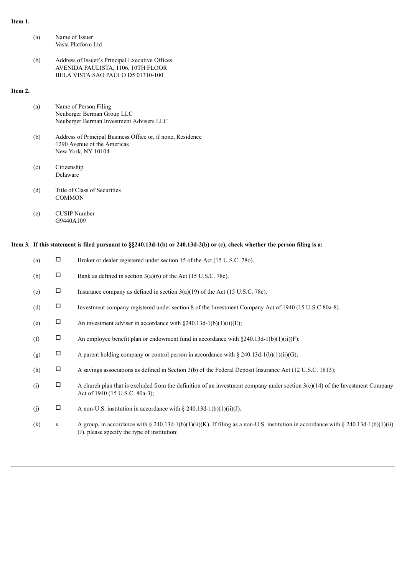### **Item 1.**

|         | (a) | Name of Issuer<br>Vasta Platform Ltd                                                                                              |
|---------|-----|-----------------------------------------------------------------------------------------------------------------------------------|
|         |     |                                                                                                                                   |
|         | (b) | Address of Issuer's Principal Executive Offices<br>AVENIDA PAULISTA, 1106, 10TH FLOOR<br><b>BELA VISTA SAO PAULO D5 01310-100</b> |
| Item 2. |     |                                                                                                                                   |
|         | (a) | Name of Person Filing<br>Neuberger Berman Group LLC<br>Neuberger Berman Investment Advisers LLC                                   |
|         |     |                                                                                                                                   |
|         | (b) | Address of Principal Business Office or, if none, Residence<br>1290 Avenue of the Americas<br>New York, NY 10104                  |
|         | (c) | Citizenship<br>Delaware                                                                                                           |
|         | (d) | Title of Class of Securities<br>COMMON                                                                                            |

(e) CUSIP Number G9440A109

# Item 3. If this statement is filed pursuant to §§240.13d-1(b) or 240.13d-2(b) or (c), check whether the person filing is a:

| (a) | $\Box$       | Broker or dealer registered under section 15 of the Act (15 U.S.C. 780).                                                                                                           |
|-----|--------------|------------------------------------------------------------------------------------------------------------------------------------------------------------------------------------|
| (b) | $\Box$       | Bank as defined in section $3(a)(6)$ of the Act (15 U.S.C. 78c).                                                                                                                   |
| (c) | $\Box$       | Insurance company as defined in section $3(a)(19)$ of the Act (15 U.S.C. 78c).                                                                                                     |
| (d) | $\Box$       | Investment company registered under section 8 of the Investment Company Act of 1940 (15 U.S.C 80a-8).                                                                              |
| (e) | $\Box$       | An investment adviser in accordance with $\S 240.13d-1(b)(1)(ii)(E)$ ;                                                                                                             |
| (f) | $\Box$       | An employee benefit plan or endowment fund in accordance with $\S 240.13d-1(b)(1)(ii)(F)$ ;                                                                                        |
| (g) | $\Box$       | A parent holding company or control person in accordance with $\S 240.13d-1(b)(1)(ii)(G)$ ;                                                                                        |
| (h) | $\Box$       | A savings associations as defined in Section 3(b) of the Federal Deposit Insurance Act (12 U.S.C. 1813);                                                                           |
| (i) | $\Box$       | A church plan that is excluded from the definition of an investment company under section $3(c)(14)$ of the Investment Company<br>Act of 1940 (15 U.S.C. 80a-3);                   |
| (j) | Д            | A non-U.S. institution in accordance with $\S 240.13d-1(b)(1)(ii)(J)$ .                                                                                                            |
| (k) | $\mathbf{X}$ | A group, in accordance with § 240.13d-1(b)(1)(ii)(K). If filing as a non-U.S. institution in accordance with § 240.13d-1(b)(1)(ii)<br>(J), please specify the type of institution: |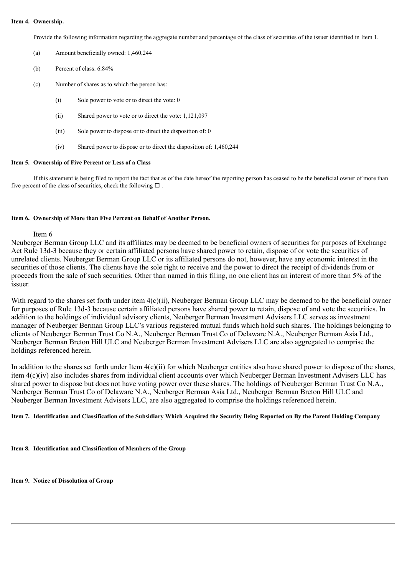#### **Item 4. Ownership.**

Provide the following information regarding the aggregate number and percentage of the class of securities of the issuer identified in Item 1.

- (a) Amount beneficially owned: 1,460,244
- (b) Percent of class: 6.84%
- (c) Number of shares as to which the person has:
	- (i) Sole power to vote or to direct the vote: 0
	- (ii) Shared power to vote or to direct the vote: 1,121,097
	- (iii) Sole power to dispose or to direct the disposition of: 0
	- (iv) Shared power to dispose or to direct the disposition of: 1,460,244

#### **Item 5. Ownership of Five Percent or Less of a Class**

If this statement is being filed to report the fact that as of the date hereof the reporting person has ceased to be the beneficial owner of more than five percent of the class of securities, check the following  $\Box$ .

#### **Item 6. Ownership of More than Five Percent on Behalf of Another Person.**

#### Item 6

Neuberger Berman Group LLC and its affiliates may be deemed to be beneficial owners of securities for purposes of Exchange Act Rule 13d-3 because they or certain affiliated persons have shared power to retain, dispose of or vote the securities of unrelated clients. Neuberger Berman Group LLC or its affiliated persons do not, however, have any economic interest in the securities of those clients. The clients have the sole right to receive and the power to direct the receipt of dividends from or proceeds from the sale of such securities. Other than named in this filing, no one client has an interest of more than 5% of the issuer.

With regard to the shares set forth under item  $4(c)(ii)$ , Neuberger Berman Group LLC may be deemed to be the beneficial owner for purposes of Rule 13d-3 because certain affiliated persons have shared power to retain, dispose of and vote the securities. In addition to the holdings of individual advisory clients, Neuberger Berman Investment Advisers LLC serves as investment manager of Neuberger Berman Group LLC's various registered mutual funds which hold such shares. The holdings belonging to clients of Neuberger Berman Trust Co N.A., Neuberger Berman Trust Co of Delaware N.A., Neuberger Berman Asia Ltd., Neuberger Berman Breton Hill ULC and Neuberger Berman Investment Advisers LLC are also aggregated to comprise the holdings referenced herein.

In addition to the shares set forth under Item  $4(c)(ii)$  for which Neuberger entities also have shared power to dispose of the shares, item 4(c)(iv) also includes shares from individual client accounts over which Neuberger Berman Investment Advisers LLC has shared power to dispose but does not have voting power over these shares. The holdings of Neuberger Berman Trust Co N.A., Neuberger Berman Trust Co of Delaware N.A., Neuberger Berman Asia Ltd., Neuberger Berman Breton Hill ULC and Neuberger Berman Investment Advisers LLC, are also aggregated to comprise the holdings referenced herein.

#### Item 7. Identification and Classification of the Subsidiary Which Acquired the Security Being Reported on By the Parent Holding Company

**Item 8. Identification and Classification of Members of the Group**

**Item 9. Notice of Dissolution of Group**